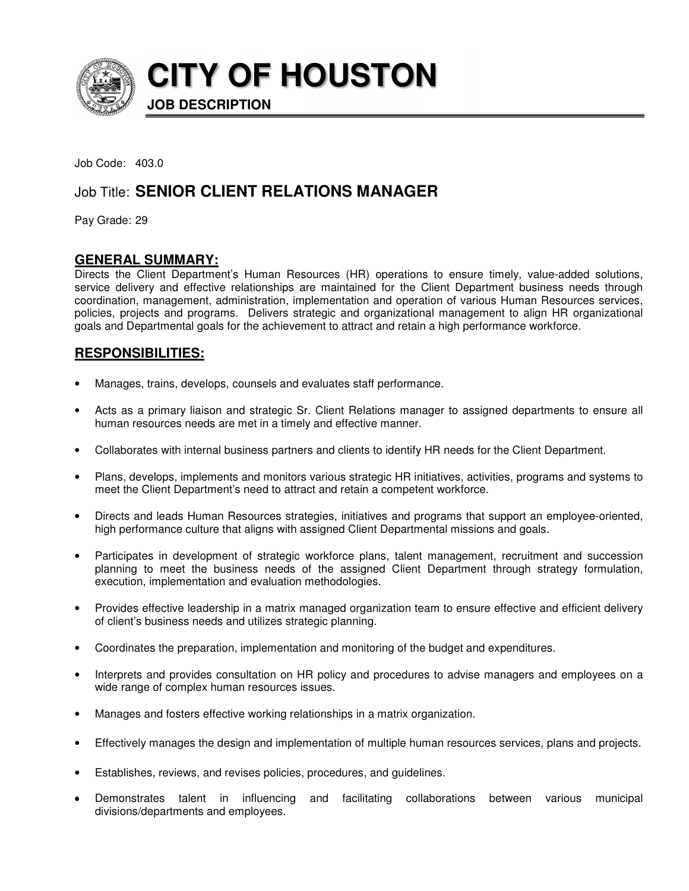

**CITY OF HOUSTON**

**JOB DESCRIPTION** 

Job Code: 403.0

# Job Title: **SENIOR CLIENT RELATIONS MANAGER**

Pay Grade: 29

# **GENERAL SUMMARY:**

Directs the Client Department's Human Resources (HR) operations to ensure timely, value-added solutions, service delivery and effective relationships are maintained for the Client Department business needs through coordination, management, administration, implementation and operation of various Human Resources services, policies, projects and programs. Delivers strategic and organizational management to align HR organizational goals and Departmental goals for the achievement to attract and retain a high performance workforce.

# **RESPONSIBILITIES:**

- Manages, trains, develops, counsels and evaluates staff performance.
- Acts as a primary liaison and strategic Sr. Client Relations manager to assigned departments to ensure all human resources needs are met in a timely and effective manner.
- Collaborates with internal business partners and clients to identify HR needs for the Client Department.
- Plans, develops, implements and monitors various strategic HR initiatives, activities, programs and systems to meet the Client Department's need to attract and retain a competent workforce.
- Directs and leads Human Resources strategies, initiatives and programs that support an employee-oriented, high performance culture that aligns with assigned Client Departmental missions and goals.
- Participates in development of strategic workforce plans, talent management, recruitment and succession planning to meet the business needs of the assigned Client Department through strategy formulation, execution, implementation and evaluation methodologies.
- Provides effective leadership in a matrix managed organization team to ensure effective and efficient delivery of client's business needs and utilizes strategic planning.
- Coordinates the preparation, implementation and monitoring of the budget and expenditures.
- Interprets and provides consultation on HR policy and procedures to advise managers and employees on a wide range of complex human resources issues.
- Manages and fosters effective working relationships in a matrix organization.
- Effectively manages the design and implementation of multiple human resources services, plans and projects.
- Establishes, reviews, and revises policies, procedures, and guidelines.
- Demonstrates talent in influencing and facilitating collaborations between various municipal divisions/departments and employees.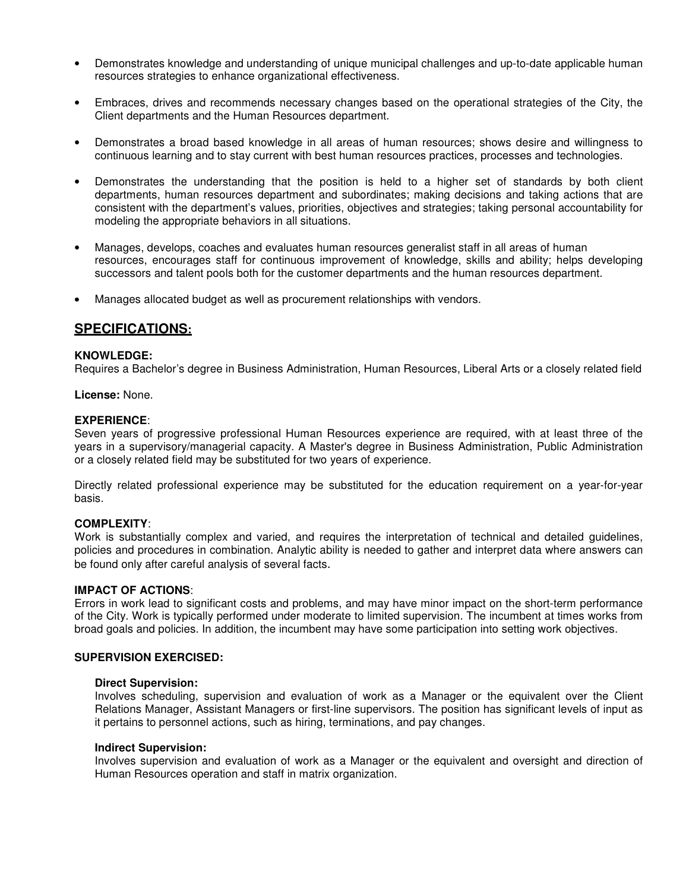- Demonstrates knowledge and understanding of unique municipal challenges and up-to-date applicable human resources strategies to enhance organizational effectiveness.
- Embraces, drives and recommends necessary changes based on the operational strategies of the City, the Client departments and the Human Resources department.
- Demonstrates a broad based knowledge in all areas of human resources; shows desire and willingness to continuous learning and to stay current with best human resources practices, processes and technologies.
- Demonstrates the understanding that the position is held to a higher set of standards by both client departments, human resources department and subordinates; making decisions and taking actions that are consistent with the department's values, priorities, objectives and strategies; taking personal accountability for modeling the appropriate behaviors in all situations.
- Manages, develops, coaches and evaluates human resources generalist staff in all areas of human resources, encourages staff for continuous improvement of knowledge, skills and ability; helps developing successors and talent pools both for the customer departments and the human resources department.
- Manages allocated budget as well as procurement relationships with vendors.

# **SPECIFICATIONS:**

#### **KNOWLEDGE:**

Requires a Bachelor's degree in Business Administration, Human Resources, Liberal Arts or a closely related field

**License:** None.

#### **EXPERIENCE**:

Seven years of progressive professional Human Resources experience are required, with at least three of the years in a supervisory/managerial capacity. A Master's degree in Business Administration, Public Administration or a closely related field may be substituted for two years of experience.

Directly related professional experience may be substituted for the education requirement on a year-for-year basis.

#### **COMPLEXITY**:

Work is substantially complex and varied, and requires the interpretation of technical and detailed guidelines, policies and procedures in combination. Analytic ability is needed to gather and interpret data where answers can be found only after careful analysis of several facts.

### **IMPACT OF ACTIONS**:

Errors in work lead to significant costs and problems, and may have minor impact on the short-term performance of the City. Work is typically performed under moderate to limited supervision. The incumbent at times works from broad goals and policies. In addition, the incumbent may have some participation into setting work objectives.

## **SUPERVISION EXERCISED:**

#### **Direct Supervision:**

Involves scheduling, supervision and evaluation of work as a Manager or the equivalent over the Client Relations Manager, Assistant Managers or first-line supervisors. The position has significant levels of input as it pertains to personnel actions, such as hiring, terminations, and pay changes.

#### **Indirect Supervision:**

Involves supervision and evaluation of work as a Manager or the equivalent and oversight and direction of Human Resources operation and staff in matrix organization.